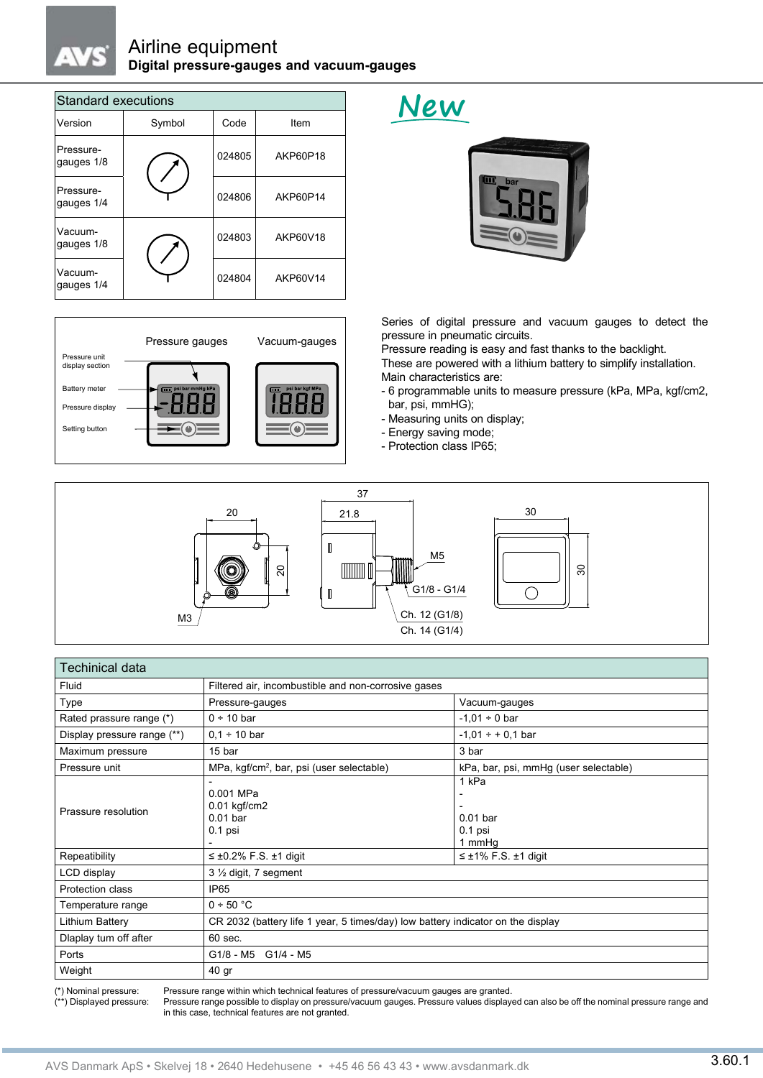## Airline equipment **Digital pressure-gauges and vacuum-gauges**

| <b>Standard executions</b> |        |        |          |  |  |
|----------------------------|--------|--------|----------|--|--|
| Version                    | Symbol | Code   | Item     |  |  |
| Pressure-<br>gauges 1/8    |        | 024805 | AKP60P18 |  |  |
| Pressure-<br>gauges 1/4    |        | 024806 | AKP60P14 |  |  |
| Vacuum-<br>gauges 1/8      |        | 024803 | AKP60V18 |  |  |
| Vacuum-<br>gauges 1/4      |        | 024804 | AKP60V14 |  |  |



## **New**



Series of digital pressure and vacuum gauges to detect the pressure in pneumatic circuits.

Pressure reading is easy and fast thanks to the backlight.

These are powered with a lithium battery to simplify installation. Main characteristics are:

- 6 programmable units to measure pressure (kPa, MPa, kgf/cm2, bar, psi, mmHG);
- Measuring units on display;
- Energy saving mode;
- Protection class IP65;



| Techinical data             |                                                                                 |                                            |  |  |  |
|-----------------------------|---------------------------------------------------------------------------------|--------------------------------------------|--|--|--|
| Fluid                       | Filtered air, incombustible and non-corrosive gases                             |                                            |  |  |  |
| Type                        | Pressure-gauges                                                                 | Vacuum-gauges                              |  |  |  |
| Rated prassure range (*)    | $0 \div 10$ bar                                                                 | $-1.01 \div 0$ bar                         |  |  |  |
| Display pressure range (**) | $0.1 \div 10$ bar                                                               | $-1,01 \div +0,1$ bar                      |  |  |  |
| Maximum pressure            | 15 bar                                                                          | 3 bar                                      |  |  |  |
| Pressure unit               | MPa, kgf/cm <sup>2</sup> , bar, psi (user selectable)                           | kPa, bar, psi, mmHg (user selectable)      |  |  |  |
| Prassure resolution         | 0.001 MPa<br>$0.01$ kgf/cm2<br>$0.01$ bar<br>$0.1$ psi                          | 1 kPa<br>$0.01$ bar<br>$0.1$ psi<br>1 mmHg |  |  |  |
| Repeatibility               | $\leq \pm 0.2\%$ F.S. $\pm 1$ digit                                             | $\leq \pm 1\%$ F.S. $\pm 1$ digit          |  |  |  |
| LCD display                 | $3\frac{1}{2}$ digit, 7 segment                                                 |                                            |  |  |  |
| Protection class            | IP <sub>65</sub>                                                                |                                            |  |  |  |
| Temperature range           | 0 ÷ 50 °C                                                                       |                                            |  |  |  |
| Lithium Battery             | CR 2032 (battery life 1 year, 5 times/day) low battery indicator on the display |                                            |  |  |  |
| Dlaplay tum off after       | 60 sec.                                                                         |                                            |  |  |  |
| Ports                       | G1/8 - M5 G1/4 - M5                                                             |                                            |  |  |  |
| Weight                      | 40 gr                                                                           |                                            |  |  |  |

(\*) Nominal pressure: Pressure range within which technical features of pressure/vacuum gauges are granted. Pressure range possible to display on pressure/vacuum gauges. Pressure values displayed can also be off the nominal pressure range and in this case, technical features are not granted.